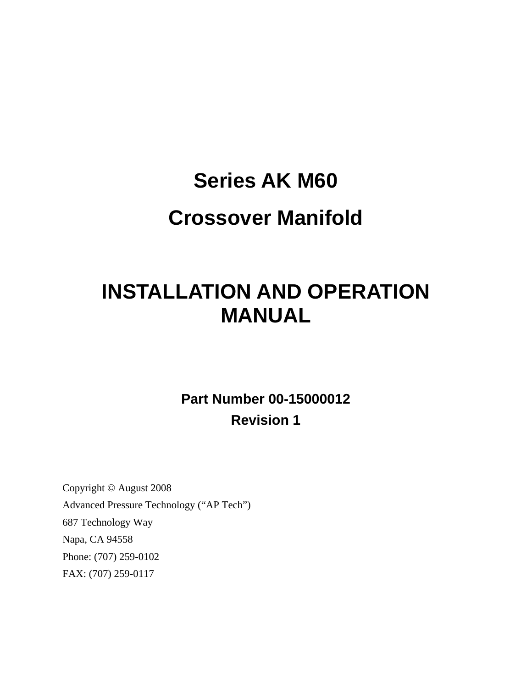# **Series AK M60 Crossover Manifold**

# **INSTALLATION AND OPERATION MANUAL**

**Part Number 00-15000012 Revision 1** 

Copyright © August 2008 Advanced Pressure Technology ("AP Tech") 687 Technology Way Napa, CA 94558 Phone: (707) 259-0102 FAX: (707) 259-0117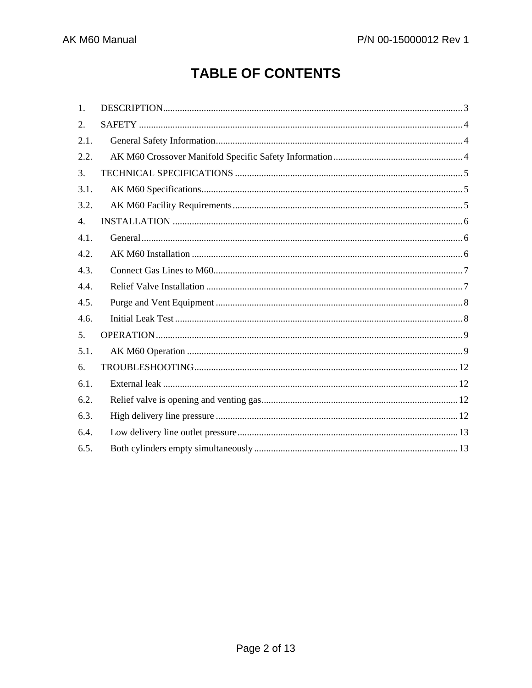# **TABLE OF CONTENTS**

| 1.   |  |
|------|--|
| 2.   |  |
| 2.1. |  |
| 2.2. |  |
| 3.   |  |
| 3.1. |  |
| 3.2. |  |
| 4.   |  |
| 4.1. |  |
| 4.2. |  |
| 4.3. |  |
| 4.4. |  |
| 4.5. |  |
| 4.6. |  |
| 5.   |  |
| 5.1. |  |
| 6.   |  |
| 6.1. |  |
| 6.2. |  |
| 6.3. |  |
| 6.4. |  |
| 6.5. |  |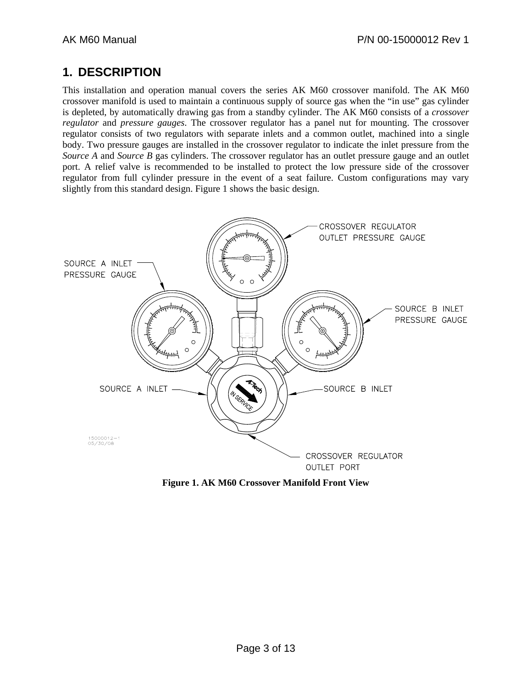### **1. DESCRIPTION**

This installation and operation manual covers the series AK M60 crossover manifold. The AK M60 crossover manifold is used to maintain a continuous supply of source gas when the "in use" gas cylinder is depleted, by automatically drawing gas from a standby cylinder. The AK M60 consists of a *crossover regulator* and *pressure gauges*. The crossover regulator has a panel nut for mounting. The crossover regulator consists of two regulators with separate inlets and a common outlet, machined into a single body. Two pressure gauges are installed in the crossover regulator to indicate the inlet pressure from the *Source A* and *Source B* gas cylinders. The crossover regulator has an outlet pressure gauge and an outlet port. A relief valve is recommended to be installed to protect the low pressure side of the crossover regulator from full cylinder pressure in the event of a seat failure. Custom configurations may vary slightly from this standard design. Figure 1 shows the basic design.



**Figure 1. AK M60 Crossover Manifold Front View**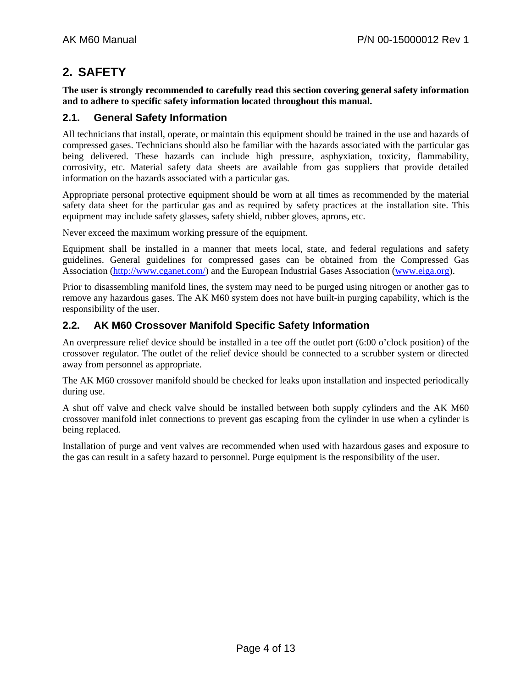### **2. SAFETY**

**The user is strongly recommended to carefully read this section covering general safety information and to adhere to specific safety information located throughout this manual.** 

#### **2.1. General Safety Information**

All technicians that install, operate, or maintain this equipment should be trained in the use and hazards of compressed gases. Technicians should also be familiar with the hazards associated with the particular gas being delivered. These hazards can include high pressure, asphyxiation, toxicity, flammability, corrosivity, etc. Material safety data sheets are available from gas suppliers that provide detailed information on the hazards associated with a particular gas.

Appropriate personal protective equipment should be worn at all times as recommended by the material safety data sheet for the particular gas and as required by safety practices at the installation site. This equipment may include safety glasses, safety shield, rubber gloves, aprons, etc.

Never exceed the maximum working pressure of the equipment.

Equipment shall be installed in a manner that meets local, state, and federal regulations and safety guidelines. General guidelines for compressed gases can be obtained from the Compressed Gas Association (http://www.cganet.com/) and the European Industrial Gases Association (www.eiga.org).

Prior to disassembling manifold lines, the system may need to be purged using nitrogen or another gas to remove any hazardous gases. The AK M60 system does not have built-in purging capability, which is the responsibility of the user.

#### **2.2. AK M60 Crossover Manifold Specific Safety Information**

An overpressure relief device should be installed in a tee off the outlet port (6:00 o'clock position) of the crossover regulator. The outlet of the relief device should be connected to a scrubber system or directed away from personnel as appropriate.

The AK M60 crossover manifold should be checked for leaks upon installation and inspected periodically during use.

A shut off valve and check valve should be installed between both supply cylinders and the AK M60 crossover manifold inlet connections to prevent gas escaping from the cylinder in use when a cylinder is being replaced.

Installation of purge and vent valves are recommended when used with hazardous gases and exposure to the gas can result in a safety hazard to personnel. Purge equipment is the responsibility of the user.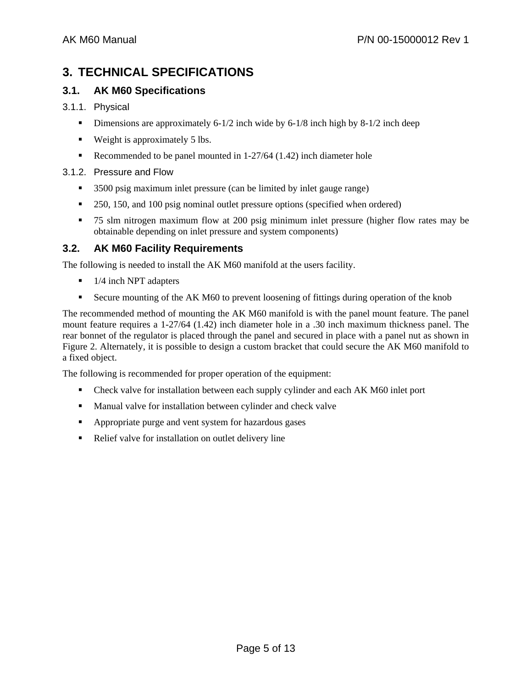# **3. TECHNICAL SPECIFICATIONS**

#### **3.1. AK M60 Specifications**

#### 3.1.1. Physical

- Dimensions are approximately 6-1/2 inch wide by  $6-1/8$  inch high by  $8-1/2$  inch deep
- Weight is approximately 5 lbs.
- Recommended to be panel mounted in  $1-27/64$  (1.42) inch diameter hole

#### 3.1.2. Pressure and Flow

- 3500 psig maximum inlet pressure (can be limited by inlet gauge range)
- 250, 150, and 100 psig nominal outlet pressure options (specified when ordered)
- 75 slm nitrogen maximum flow at 200 psig minimum inlet pressure (higher flow rates may be obtainable depending on inlet pressure and system components)

#### **3.2. AK M60 Facility Requirements**

The following is needed to install the AK M60 manifold at the users facility.

- $\blacksquare$  1/4 inch NPT adapters
- Secure mounting of the AK M60 to prevent loosening of fittings during operation of the knob

The recommended method of mounting the AK M60 manifold is with the panel mount feature. The panel mount feature requires a 1-27/64 (1.42) inch diameter hole in a .30 inch maximum thickness panel. The rear bonnet of the regulator is placed through the panel and secured in place with a panel nut as shown in Figure 2. Alternately, it is possible to design a custom bracket that could secure the AK M60 manifold to a fixed object.

The following is recommended for proper operation of the equipment:

- Check valve for installation between each supply cylinder and each AK M60 inlet port
- **Manual valve for installation between cylinder and check valve**
- **•** Appropriate purge and vent system for hazardous gases
- Relief valve for installation on outlet delivery line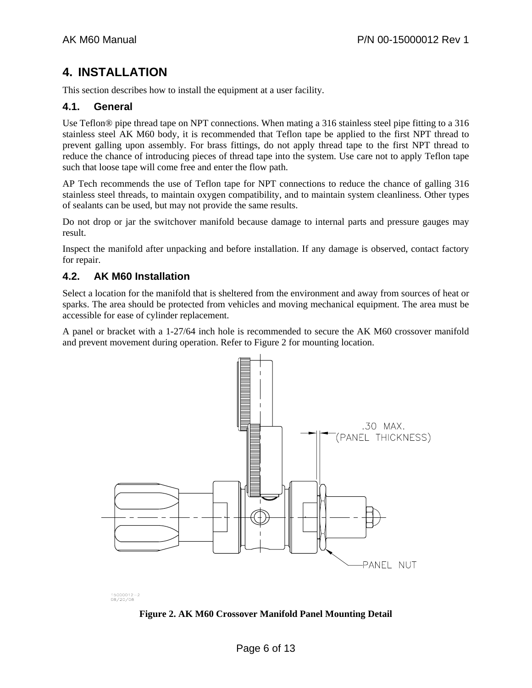# **4. INSTALLATION**

This section describes how to install the equipment at a user facility.

#### **4.1. General**

Use Teflon® pipe thread tape on NPT connections. When mating a 316 stainless steel pipe fitting to a 316 stainless steel AK M60 body, it is recommended that Teflon tape be applied to the first NPT thread to prevent galling upon assembly. For brass fittings, do not apply thread tape to the first NPT thread to reduce the chance of introducing pieces of thread tape into the system. Use care not to apply Teflon tape such that loose tape will come free and enter the flow path.

AP Tech recommends the use of Teflon tape for NPT connections to reduce the chance of galling 316 stainless steel threads, to maintain oxygen compatibility, and to maintain system cleanliness. Other types of sealants can be used, but may not provide the same results.

Do not drop or jar the switchover manifold because damage to internal parts and pressure gauges may result.

Inspect the manifold after unpacking and before installation. If any damage is observed, contact factory for repair.

#### **4.2. AK M60 Installation**

Select a location for the manifold that is sheltered from the environment and away from sources of heat or sparks. The area should be protected from vehicles and moving mechanical equipment. The area must be accessible for ease of cylinder replacement.

A panel or bracket with a 1-27/64 inch hole is recommended to secure the AK M60 crossover manifold and prevent movement during operation. Refer to Figure 2 for mounting location.



15000012-2<br>08/20/08

**Figure 2. AK M60 Crossover Manifold Panel Mounting Detail**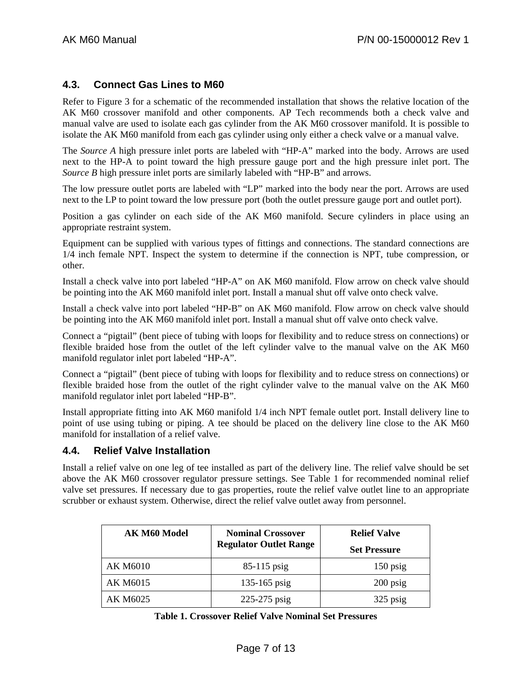#### **4.3. Connect Gas Lines to M60**

Refer to Figure 3 for a schematic of the recommended installation that shows the relative location of the AK M60 crossover manifold and other components. AP Tech recommends both a check valve and manual valve are used to isolate each gas cylinder from the AK M60 crossover manifold. It is possible to isolate the AK M60 manifold from each gas cylinder using only either a check valve or a manual valve.

The *Source A* high pressure inlet ports are labeled with "HP-A" marked into the body. Arrows are used next to the HP-A to point toward the high pressure gauge port and the high pressure inlet port. The *Source B* high pressure inlet ports are similarly labeled with "HP-B" and arrows.

The low pressure outlet ports are labeled with "LP" marked into the body near the port. Arrows are used next to the LP to point toward the low pressure port (both the outlet pressure gauge port and outlet port).

Position a gas cylinder on each side of the AK M60 manifold. Secure cylinders in place using an appropriate restraint system.

Equipment can be supplied with various types of fittings and connections. The standard connections are 1/4 inch female NPT. Inspect the system to determine if the connection is NPT, tube compression, or other.

Install a check valve into port labeled "HP-A" on AK M60 manifold. Flow arrow on check valve should be pointing into the AK M60 manifold inlet port. Install a manual shut off valve onto check valve.

Install a check valve into port labeled "HP-B" on AK M60 manifold. Flow arrow on check valve should be pointing into the AK M60 manifold inlet port. Install a manual shut off valve onto check valve.

Connect a "pigtail" (bent piece of tubing with loops for flexibility and to reduce stress on connections) or flexible braided hose from the outlet of the left cylinder valve to the manual valve on the AK M60 manifold regulator inlet port labeled "HP-A".

Connect a "pigtail" (bent piece of tubing with loops for flexibility and to reduce stress on connections) or flexible braided hose from the outlet of the right cylinder valve to the manual valve on the AK M60 manifold regulator inlet port labeled "HP-B".

Install appropriate fitting into AK M60 manifold 1/4 inch NPT female outlet port. Install delivery line to point of use using tubing or piping. A tee should be placed on the delivery line close to the AK M60 manifold for installation of a relief valve.

#### **4.4. Relief Valve Installation**

Install a relief valve on one leg of tee installed as part of the delivery line. The relief valve should be set above the AK M60 crossover regulator pressure settings. See Table 1 for recommended nominal relief valve set pressures. If necessary due to gas properties, route the relief valve outlet line to an appropriate scrubber or exhaust system. Otherwise, direct the relief valve outlet away from personnel.

| AK M60 Model    | <b>Nominal Crossover</b>      | <b>Relief Valve</b> |
|-----------------|-------------------------------|---------------------|
|                 | <b>Regulator Outlet Range</b> | <b>Set Pressure</b> |
| <b>AK M6010</b> | $85-115$ psig                 | $150$ psig          |
| AK M6015        | $135 - 165$ psig              | $200$ psig          |
| AK M6025        | 225-275 psig                  | 325 psig            |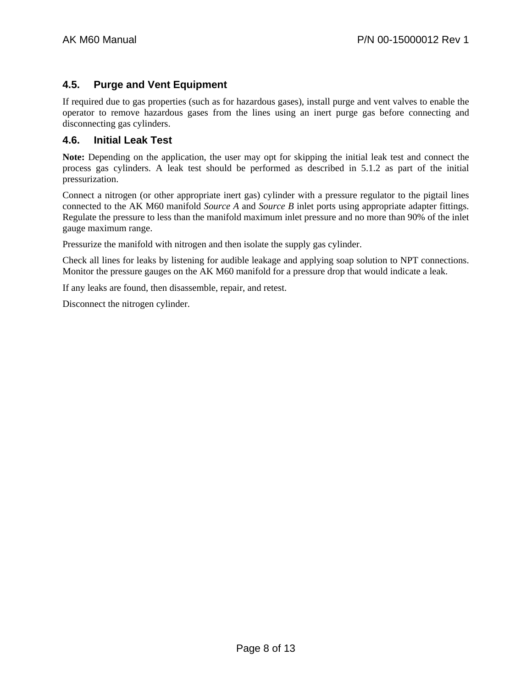#### **4.5. Purge and Vent Equipment**

If required due to gas properties (such as for hazardous gases), install purge and vent valves to enable the operator to remove hazardous gases from the lines using an inert purge gas before connecting and disconnecting gas cylinders.

#### **4.6. Initial Leak Test**

**Note:** Depending on the application, the user may opt for skipping the initial leak test and connect the process gas cylinders. A leak test should be performed as described in 5.1.2 as part of the initial pressurization.

Connect a nitrogen (or other appropriate inert gas) cylinder with a pressure regulator to the pigtail lines connected to the AK M60 manifold *Source A* and *Source B* inlet ports using appropriate adapter fittings. Regulate the pressure to less than the manifold maximum inlet pressure and no more than 90% of the inlet gauge maximum range.

Pressurize the manifold with nitrogen and then isolate the supply gas cylinder.

Check all lines for leaks by listening for audible leakage and applying soap solution to NPT connections. Monitor the pressure gauges on the AK M60 manifold for a pressure drop that would indicate a leak.

If any leaks are found, then disassemble, repair, and retest.

Disconnect the nitrogen cylinder.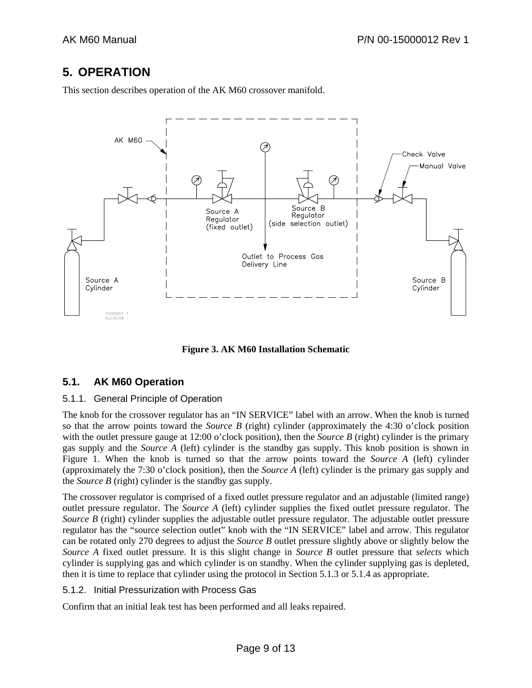# **5. OPERATION**

This section describes operation of the AK M60 crossover manifold.



**Figure 3. AK M60 Installation Schematic** 

#### **5.1. AK M60 Operation**

#### 5.1.1. General Principle of Operation

The knob for the crossover regulator has an "IN SERVICE" label with an arrow. When the knob is turned so that the arrow points toward the *Source B* (right) cylinder (approximately the 4:30 o'clock position with the outlet pressure gauge at 12:00 o'clock position), then the *Source B* (right) cylinder is the primary gas supply and the *Source A* (left) cylinder is the standby gas supply. This knob position is shown in Figure 1. When the knob is turned so that the arrow points toward the *Source A* (left) cylinder (approximately the 7:30 o'clock position), then the *Source A* (left) cylinder is the primary gas supply and the *Source B* (right) cylinder is the standby gas supply.

The crossover regulator is comprised of a fixed outlet pressure regulator and an adjustable (limited range) outlet pressure regulator. The *Source A* (left) cylinder supplies the fixed outlet pressure regulator. The *Source B* (right) cylinder supplies the adjustable outlet pressure regulator. The adjustable outlet pressure regulator has the "source selection outlet" knob with the "IN SERVICE" label and arrow. This regulator can be rotated only 270 degrees to adjust the *Source B* outlet pressure slightly above or slightly below the *Source A* fixed outlet pressure. It is this slight change in *Source B* outlet pressure that *selects* which cylinder is supplying gas and which cylinder is on standby. When the cylinder supplying gas is depleted, then it is time to replace that cylinder using the protocol in Section 5.1.3 or 5.1.4 as appropriate.

#### 5.1.2. Initial Pressurization with Process Gas

Confirm that an initial leak test has been performed and all leaks repaired.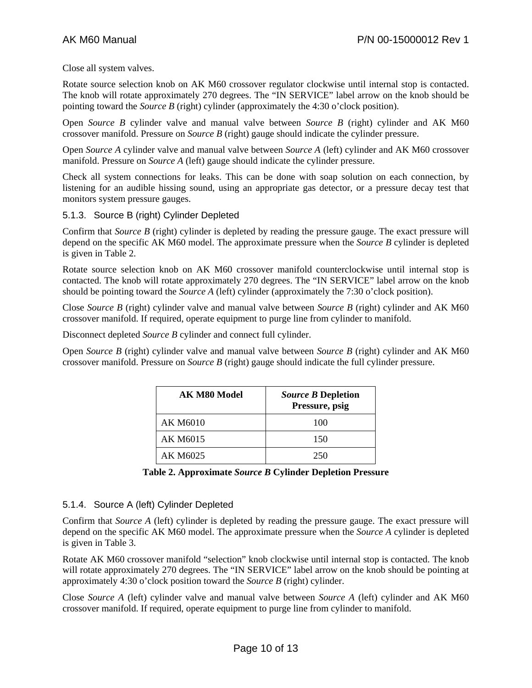Close all system valves.

Rotate source selection knob on AK M60 crossover regulator clockwise until internal stop is contacted. The knob will rotate approximately 270 degrees. The "IN SERVICE" label arrow on the knob should be pointing toward the *Source B* (right) cylinder (approximately the 4:30 o'clock position).

Open *Source B* cylinder valve and manual valve between *Source B* (right) cylinder and AK M60 crossover manifold. Pressure on *Source B* (right) gauge should indicate the cylinder pressure.

Open *Source A* cylinder valve and manual valve between *Source A* (left) cylinder and AK M60 crossover manifold. Pressure on *Source A* (left) gauge should indicate the cylinder pressure.

Check all system connections for leaks. This can be done with soap solution on each connection, by listening for an audible hissing sound, using an appropriate gas detector, or a pressure decay test that monitors system pressure gauges.

#### 5.1.3. Source B (right) Cylinder Depleted

Confirm that *Source B* (right) cylinder is depleted by reading the pressure gauge. The exact pressure will depend on the specific AK M60 model. The approximate pressure when the *Source B* cylinder is depleted is given in Table 2.

Rotate source selection knob on AK M60 crossover manifold counterclockwise until internal stop is contacted. The knob will rotate approximately 270 degrees. The "IN SERVICE" label arrow on the knob should be pointing toward the *Source A* (left) cylinder (approximately the 7:30 o'clock position).

Close *Source B* (right) cylinder valve and manual valve between *Source B* (right) cylinder and AK M60 crossover manifold. If required, operate equipment to purge line from cylinder to manifold.

Disconnect depleted *Source B* cylinder and connect full cylinder.

Open *Source B* (right) cylinder valve and manual valve between *Source B* (right) cylinder and AK M60 crossover manifold. Pressure on *Source B* (right) gauge should indicate the full cylinder pressure.

| <b>AK M80 Model</b> | <i>Source B</i> Depletion<br>Pressure, psig |
|---------------------|---------------------------------------------|
| AK M6010            | 100                                         |
| AK M6015            | 150                                         |
| AK M6025            | 250                                         |

| Table 2. Approximate Source B Cylinder Depletion Pressure |  |
|-----------------------------------------------------------|--|
|-----------------------------------------------------------|--|

#### 5.1.4. Source A (left) Cylinder Depleted

Confirm that *Source A* (left) cylinder is depleted by reading the pressure gauge. The exact pressure will depend on the specific AK M60 model. The approximate pressure when the *Source A* cylinder is depleted is given in Table 3.

Rotate AK M60 crossover manifold "selection" knob clockwise until internal stop is contacted. The knob will rotate approximately 270 degrees. The "IN SERVICE" label arrow on the knob should be pointing at approximately 4:30 o'clock position toward the *Source B* (right) cylinder.

Close *Source A* (left) cylinder valve and manual valve between *Source A* (left) cylinder and AK M60 crossover manifold. If required, operate equipment to purge line from cylinder to manifold.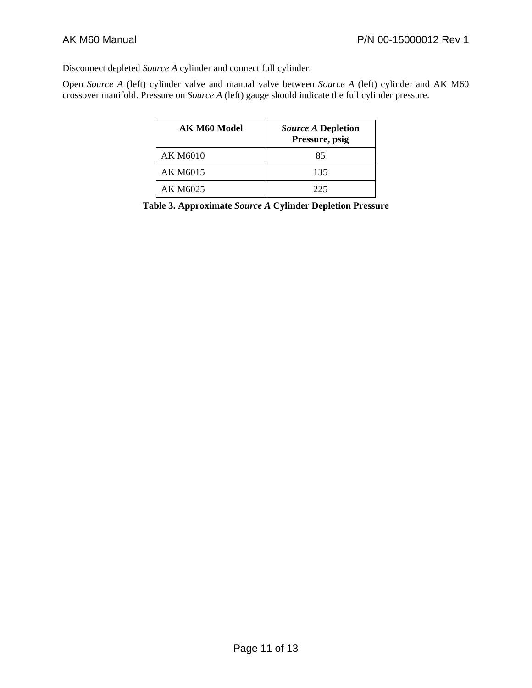Disconnect depleted *Source A* cylinder and connect full cylinder.

Open *Source A* (left) cylinder valve and manual valve between *Source A* (left) cylinder and AK M60 crossover manifold. Pressure on *Source A* (left) gauge should indicate the full cylinder pressure.

| <b>AK M60 Model</b> | <i>Source A Depletion</i><br>Pressure, psig |
|---------------------|---------------------------------------------|
| AK M6010            | 85                                          |
| AK M6015            | 135                                         |
| AK M6025            | 225                                         |

**Table 3. Approximate** *Source A* **Cylinder Depletion Pressure**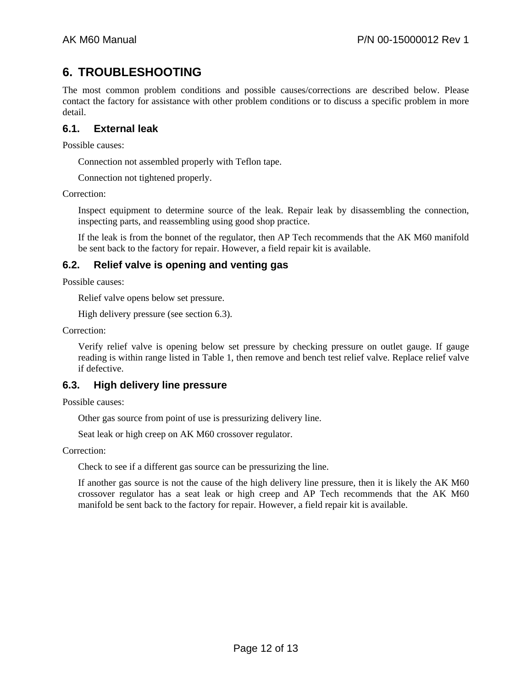# **6. TROUBLESHOOTING**

The most common problem conditions and possible causes/corrections are described below. Please contact the factory for assistance with other problem conditions or to discuss a specific problem in more detail.

#### **6.1. External leak**

Possible causes:

Connection not assembled properly with Teflon tape.

Connection not tightened properly.

Correction:

Inspect equipment to determine source of the leak. Repair leak by disassembling the connection, inspecting parts, and reassembling using good shop practice.

If the leak is from the bonnet of the regulator, then AP Tech recommends that the AK M60 manifold be sent back to the factory for repair. However, a field repair kit is available.

#### **6.2. Relief valve is opening and venting gas**

Possible causes:

Relief valve opens below set pressure.

High delivery pressure (see section 6.3).

Correction:

Verify relief valve is opening below set pressure by checking pressure on outlet gauge. If gauge reading is within range listed in Table 1, then remove and bench test relief valve. Replace relief valve if defective.

#### **6.3. High delivery line pressure**

Possible causes:

Other gas source from point of use is pressurizing delivery line.

Seat leak or high creep on AK M60 crossover regulator.

Correction:

Check to see if a different gas source can be pressurizing the line.

If another gas source is not the cause of the high delivery line pressure, then it is likely the AK M60 crossover regulator has a seat leak or high creep and AP Tech recommends that the AK M60 manifold be sent back to the factory for repair. However, a field repair kit is available.